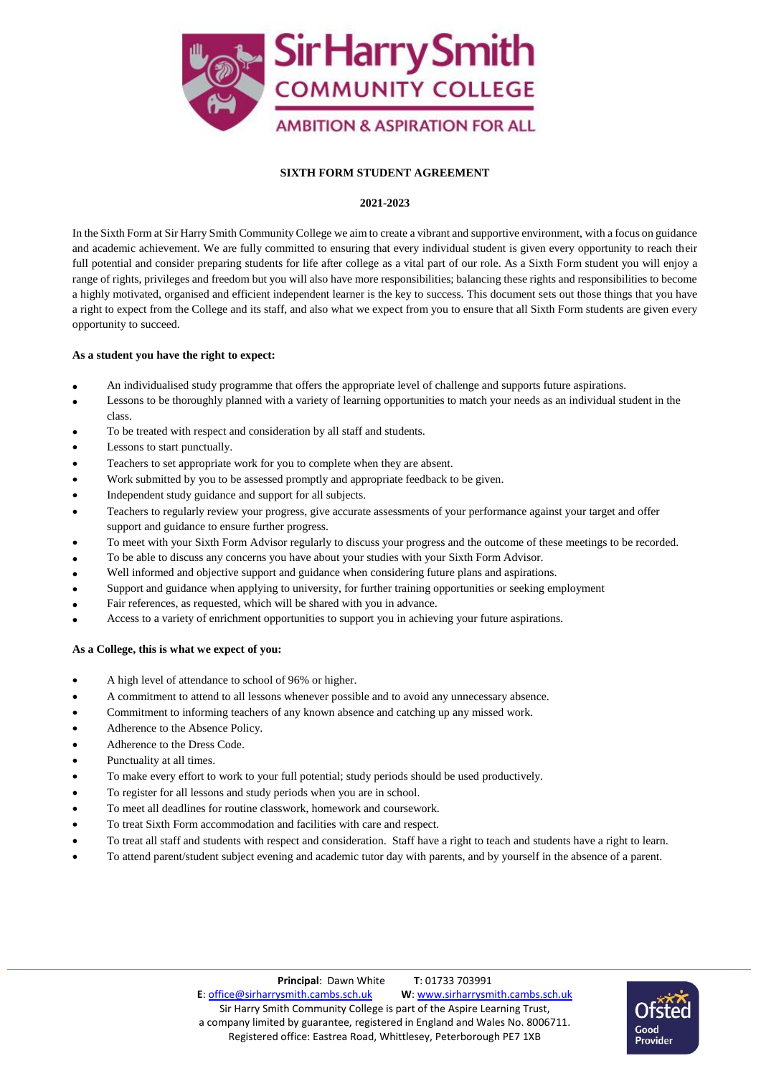

# **SIXTH FORM STUDENT AGREEMENT**

# **2021-2023**

In the Sixth Form at Sir Harry Smith Community College we aim to create a vibrant and supportive environment, with a focus on guidance and academic achievement. We are fully committed to ensuring that every individual student is given every opportunity to reach their full potential and consider preparing students for life after college as a vital part of our role. As a Sixth Form student you will enjoy a range of rights, privileges and freedom but you will also have more responsibilities; balancing these rights and responsibilities to become a highly motivated, organised and efficient independent learner is the key to success. This document sets out those things that you have a right to expect from the College and its staff, and also what we expect from you to ensure that all Sixth Form students are given every opportunity to succeed.

# **As a student you have the right to expect:**

- An individualised study programme that offers the appropriate level of challenge and supports future aspirations.
- Lessons to be thoroughly planned with a variety of learning opportunities to match your needs as an individual student in the class.
- To be treated with respect and consideration by all staff and students.
- Lessons to start punctually.
- Teachers to set appropriate work for you to complete when they are absent.
- Work submitted by you to be assessed promptly and appropriate feedback to be given.
- Independent study guidance and support for all subjects.
- Teachers to regularly review your progress, give accurate assessments of your performance against your target and offer support and guidance to ensure further progress.
- To meet with your Sixth Form Advisor regularly to discuss your progress and the outcome of these meetings to be recorded.
- To be able to discuss any concerns you have about your studies with your Sixth Form Advisor.
- Well informed and objective support and guidance when considering future plans and aspirations.
- Support and guidance when applying to university, for further training opportunities or seeking employment
- Fair references, as requested, which will be shared with you in advance.
- Access to a variety of enrichment opportunities to support you in achieving your future aspirations.

## **As a College, this is what we expect of you:**

- A high level of attendance to school of 96% or higher.
- A commitment to attend to all lessons whenever possible and to avoid any unnecessary absence.
- Commitment to informing teachers of any known absence and catching up any missed work.
- Adherence to the Absence Policy.
- Adherence to the Dress Code.
- Punctuality at all times.
- To make every effort to work to your full potential; study periods should be used productively.
- To register for all lessons and study periods when you are in school.
- To meet all deadlines for routine classwork, homework and coursework.
- To treat Sixth Form accommodation and facilities with care and respect.
- To treat all staff and students with respect and consideration. Staff have a right to teach and students have a right to learn.
- To attend parent/student subject evening and academic tutor day with parents, and by yourself in the absence of a parent.